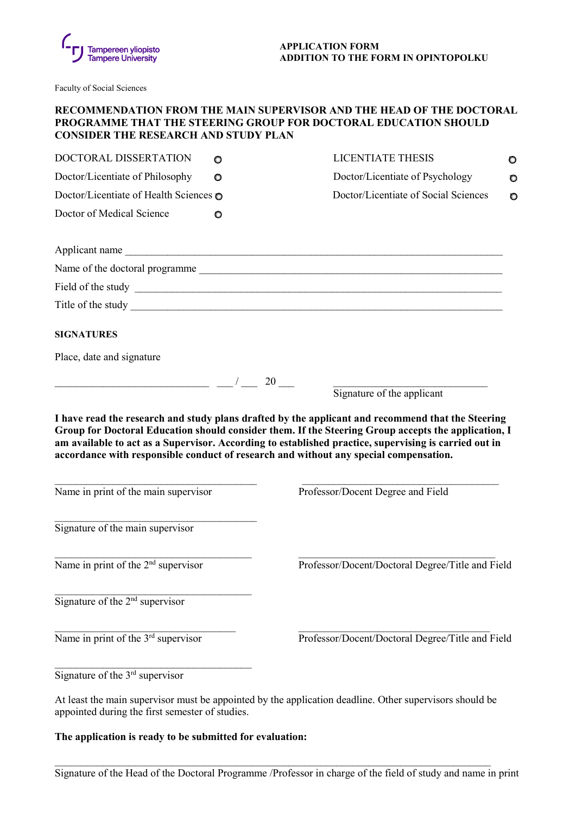

Faculty of Social Sciences

## **RECOMMENDATION FROM THE MAIN SUPERVISOR AND THE HEAD OF THE DOCTORAL PROGRAMME THAT THE STEERING GROUP FOR DOCTORAL EDUCATION SHOULD CONSIDER THE RESEARCH AND STUDY PLAN**

| DOCTORAL DISSERTATION                                                                 | O | LICENTIATE THESIS                                                                                                                                                                                                                   | O |
|---------------------------------------------------------------------------------------|---|-------------------------------------------------------------------------------------------------------------------------------------------------------------------------------------------------------------------------------------|---|
| Doctor/Licentiate of Philosophy                                                       | O | Doctor/Licentiate of Psychology                                                                                                                                                                                                     | O |
| Doctor/Licentiate of Health Sciences o                                                |   | Doctor/Licentiate of Social Sciences                                                                                                                                                                                                | O |
| Doctor of Medical Science                                                             | O |                                                                                                                                                                                                                                     |   |
|                                                                                       |   |                                                                                                                                                                                                                                     |   |
|                                                                                       |   | Name of the doctoral programme                                                                                                                                                                                                      |   |
|                                                                                       |   | Field of the study <u>example and the study</u> and the study of the study of the study of the study of the study of the study of the study of the study of the study of the study of the study of the study of the study of the st |   |
|                                                                                       |   |                                                                                                                                                                                                                                     |   |
| <b>SIGNATURES</b>                                                                     |   |                                                                                                                                                                                                                                     |   |
| Place, date and signature                                                             |   |                                                                                                                                                                                                                                     |   |
| $\frac{1}{2}$ $\frac{1}{20}$ $\frac{1}{20}$ $\frac{20}{20}$                           |   | Signature of the applicant                                                                                                                                                                                                          |   |
| accordance with responsible conduct of research and without any special compensation. |   | am available to act as a Supervisor. According to established practice, supervising is carried out in                                                                                                                               |   |
| Name in print of the main supervisor                                                  |   |                                                                                                                                                                                                                                     |   |
|                                                                                       |   | Professor/Docent Degree and Field                                                                                                                                                                                                   |   |
| Signature of the main supervisor                                                      |   |                                                                                                                                                                                                                                     |   |
| Name in print of the 2 <sup>nd</sup> supervisor                                       |   | Professor/Docent/Doctoral Degree/Title and Field                                                                                                                                                                                    |   |
| Signature of the $2nd$ supervisor                                                     |   |                                                                                                                                                                                                                                     |   |
| Name in print of the 3 <sup>rd</sup> supervisor                                       |   | Professor/Docent/Doctoral Degree/Title and Field                                                                                                                                                                                    |   |

At least the main supervisor must be appointed by the application deadline. Other supervisors should be appointed during the first semester of studies.

\_\_\_\_\_\_\_\_\_\_\_\_\_\_\_\_\_\_\_\_\_\_\_\_\_\_\_\_\_\_\_\_\_\_\_\_\_\_\_\_\_\_\_\_\_\_\_\_\_\_\_\_\_\_\_\_\_\_\_\_\_\_\_\_\_\_\_\_\_\_\_\_\_\_\_\_\_\_\_\_\_\_

**The application is ready to be submitted for evaluation:**